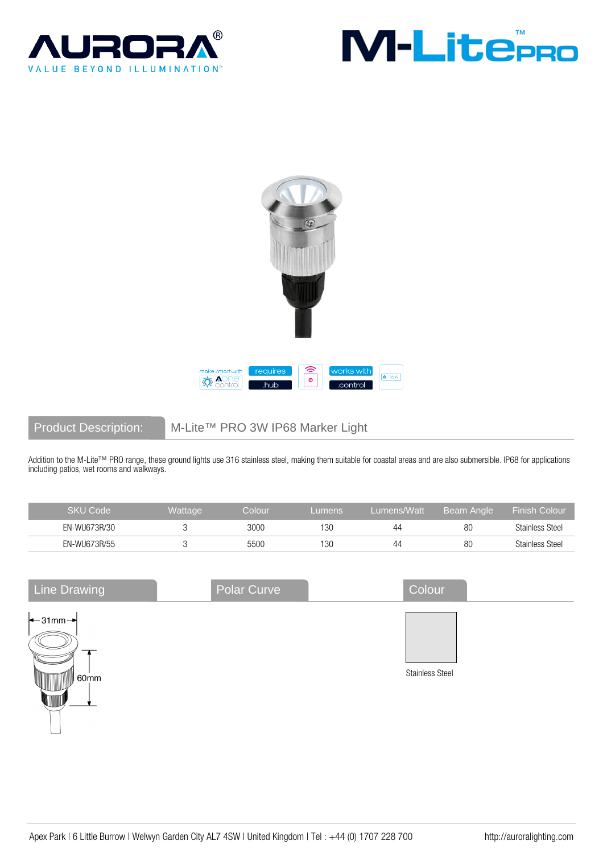





Product Description: M-Lite™ PRO 3W IP68 Marker Light

Addition to the M-Lite™ PRO range, these ground lights use 316 stainless steel, making them suitable for coastal areas and are also submersible. IP68 for applications including patios, wet rooms and walkways.

| SKU Code     | <b>Wattage</b> | colour: | _umens | Lumens/Watt | Beam Angle | <b>Finish Colour</b>   |
|--------------|----------------|---------|--------|-------------|------------|------------------------|
| EN-WU673R/30 |                | 3000    | '30    | 44          | 80         | <b>Stainless Steel</b> |
| EN-WU673R/55 |                | 5500    | 130    | 44          | 80         | <b>Stainless Steel</b> |

| <b>Line Drawing</b>                                 | Polar Curve | Colour                 |  |
|-----------------------------------------------------|-------------|------------------------|--|
| $\leftarrow$ 31mm $\rightarrow$<br>60 <sub>mm</sub> |             | <b>Stainless Steel</b> |  |